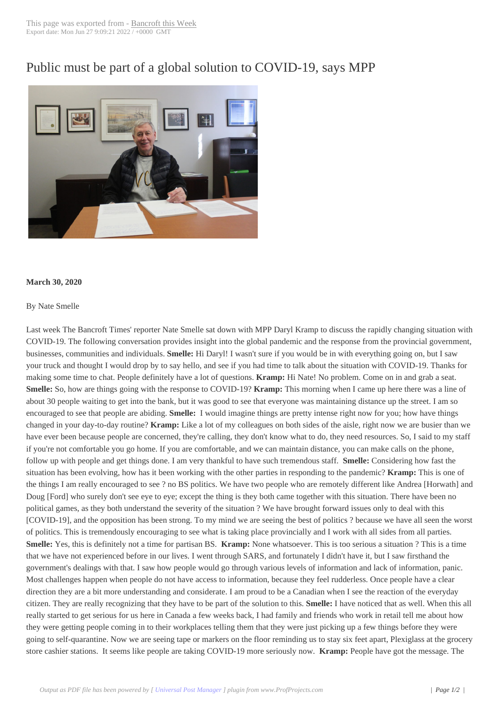## Public must be part [of a global s](http://www.bancroftthisweek.com/?p=10371)olution to COVID-19, says MPP



## **March 30, 2020**

## By Nate Smelle

Last week The Bancroft Times' reporter Nate Smelle sat down with MPP Daryl Kramp to discuss the rapidly changing situation with COVID-19. The following conversation provides insight into the global pandemic and the response from the provincial government, businesses, communities and individuals. **Smelle:** Hi Daryl! I wasn't sure if you would be in with everything going on, but I saw your truck and thought I would drop by to say hello, and see if you had time to talk about the situation with COVID-19. Thanks for making some time to chat. People definitely have a lot of questions. **Kramp:** Hi Nate! No problem. Come on in and grab a seat. **Smelle:** So, how are things going with the response to COVID-19? **Kramp:** This morning when I came up here there was a line of about 30 people waiting to get into the bank, but it was good to see that everyone was maintaining distance up the street. I am so encouraged to see that people are abiding. **Smelle:** I would imagine things are pretty intense right now for you; how have things changed in your day-to-day routine? **Kramp:** Like a lot of my colleagues on both sides of the aisle, right now we are busier than we have ever been because people are concerned, they're calling, they don't know what to do, they need resources. So, I said to my staff if you're not comfortable you go home. If you are comfortable, and we can maintain distance, you can make calls on the phone, follow up with people and get things done. I am very thankful to have such tremendous staff. **Smelle:** Considering how fast the situation has been evolving, how has it been working with the other parties in responding to the pandemic? **Kramp:** This is one of the things I am really encouraged to see ? no BS politics. We have two people who are remotely different like Andrea [Horwath] and Doug [Ford] who surely don't see eye to eye; except the thing is they both came together with this situation. There have been no political games, as they both understand the severity of the situation ? We have brought forward issues only to deal with this [COVID-19], and the opposition has been strong. To my mind we are seeing the best of politics ? because we have all seen the worst of politics. This is tremendously encouraging to see what is taking place provincially and I work with all sides from all parties. **Smelle:** Yes, this is definitely not a time for partisan BS. **Kramp:** None whatsoever. This is too serious a situation ? This is a time that we have not experienced before in our lives. I went through SARS, and fortunately I didn't have it, but I saw firsthand the government's dealings with that. I saw how people would go through various levels of information and lack of information, panic. Most challenges happen when people do not have access to information, because they feel rudderless. Once people have a clear direction they are a bit more understanding and considerate. I am proud to be a Canadian when I see the reaction of the everyday citizen. They are really recognizing that they have to be part of the solution to this. **Smelle:** I have noticed that as well. When this all really started to get serious for us here in Canada a few weeks back, I had family and friends who work in retail tell me about how they were getting people coming in to their workplaces telling them that they were just picking up a few things before they were going to self-quarantine. Now we are seeing tape or markers on the floor reminding us to stay six feet apart, Plexiglass at the grocery store cashier stations. It seems like people are taking COVID-19 more seriously now. **Kramp:** People have got the message. The